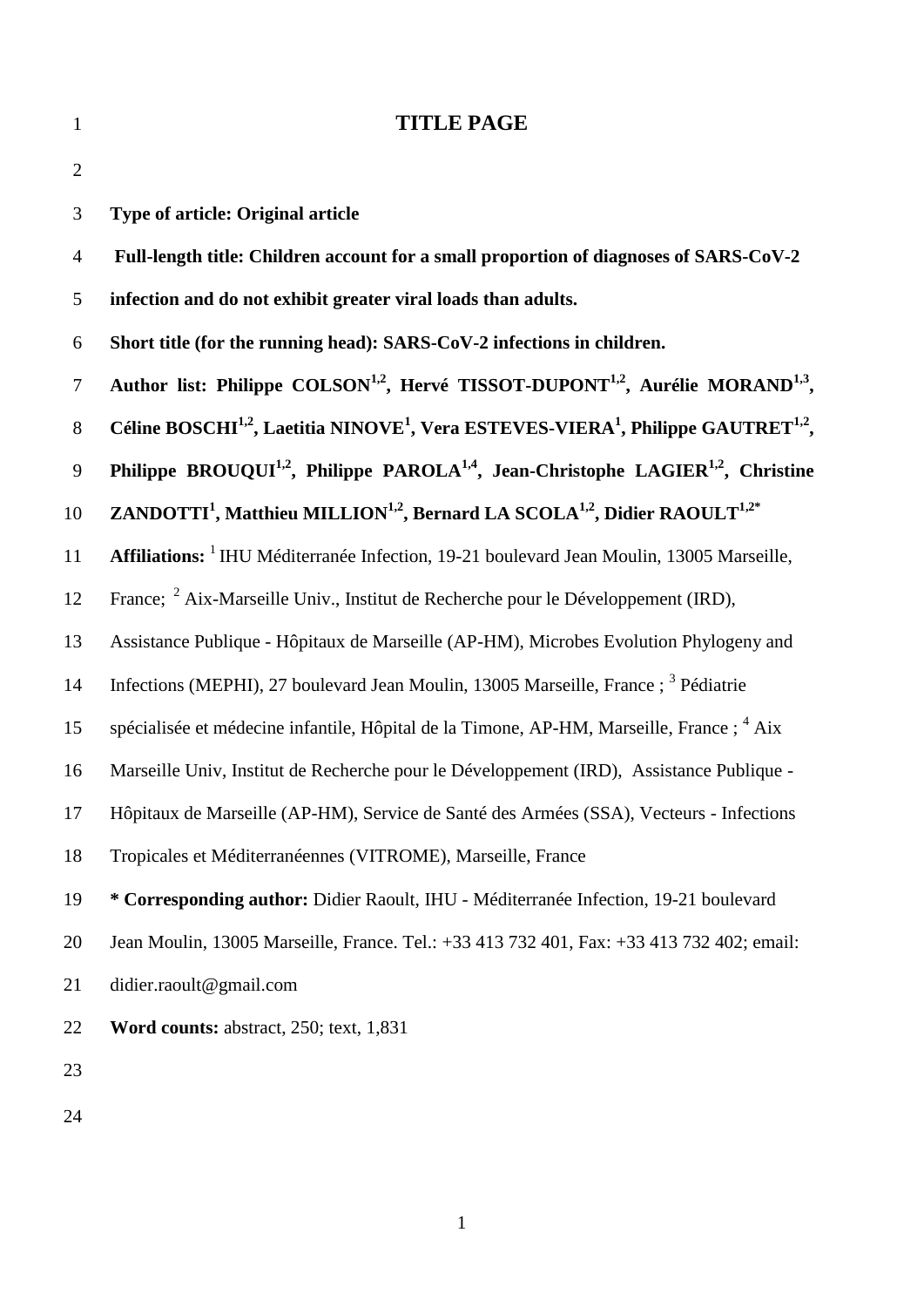| $\mathbf{1}$   | <b>TITLE PAGE</b>                                                                                                                 |
|----------------|-----------------------------------------------------------------------------------------------------------------------------------|
| $\overline{2}$ |                                                                                                                                   |
| 3              | <b>Type of article: Original article</b>                                                                                          |
| $\overline{4}$ | Full-length title: Children account for a small proportion of diagnoses of SARS-CoV-2                                             |
| 5              | infection and do not exhibit greater viral loads than adults.                                                                     |
| 6              | Short title (for the running head): SARS-CoV-2 infections in children.                                                            |
| $\tau$         | Author list: Philippe COLSON <sup>1,2</sup> , Hervé TISSOT-DUPONT <sup>1,2</sup> , Aurélie MORAND <sup>1,3</sup> ,                |
| $8\,$          | Céline BOSCHI <sup>1,2</sup> , Laetitia NINOVE <sup>1</sup> , Vera ESTEVES-VIERA <sup>1</sup> , Philippe GAUTRET <sup>1,2</sup> , |
| 9              | Philippe BROUQUI <sup>1,2</sup> , Philippe PAROLA <sup>1,4</sup> , Jean-Christophe LAGIER <sup>1,2</sup> , Christine              |
| 10             | ZANDOTTI <sup>1</sup> , Matthieu MILLION <sup>1,2</sup> , Bernard LA SCOLA <sup>1,2</sup> , Didier RAOULT <sup>1,2*</sup>         |
| 11             | Affiliations: <sup>1</sup> IHU Méditerranée Infection, 19-21 boulevard Jean Moulin, 13005 Marseille,                              |
| 12             | France; <sup>2</sup> Aix-Marseille Univ., Institut de Recherche pour le Développement (IRD),                                      |
| 13             | Assistance Publique - Hôpitaux de Marseille (AP-HM), Microbes Evolution Phylogeny and                                             |
| 14             | Infections (MEPHI), 27 boulevard Jean Moulin, 13005 Marseille, France; <sup>3</sup> Pédiatrie                                     |
| 15             | spécialisée et médecine infantile, Hôpital de la Timone, AP-HM, Marseille, France ; <sup>4</sup> Aix                              |
| 16             | Marseille Univ, Institut de Recherche pour le Développement (IRD), Assistance Publique -                                          |
| 17             | Hôpitaux de Marseille (AP-HM), Service de Santé des Armées (SSA), Vecteurs - Infections                                           |
| 18             | Tropicales et Méditerranéennes (VITROME), Marseille, France                                                                       |
| 19             | * Corresponding author: Didier Raoult, IHU - Méditerranée Infection, 19-21 boulevard                                              |
| 20             | Jean Moulin, 13005 Marseille, France. Tel.: +33 413 732 401, Fax: +33 413 732 402; email:                                         |
| 21             | didier.raoult@gmail.com                                                                                                           |
| 22             | Word counts: abstract, 250; text, 1,831                                                                                           |
| 23             |                                                                                                                                   |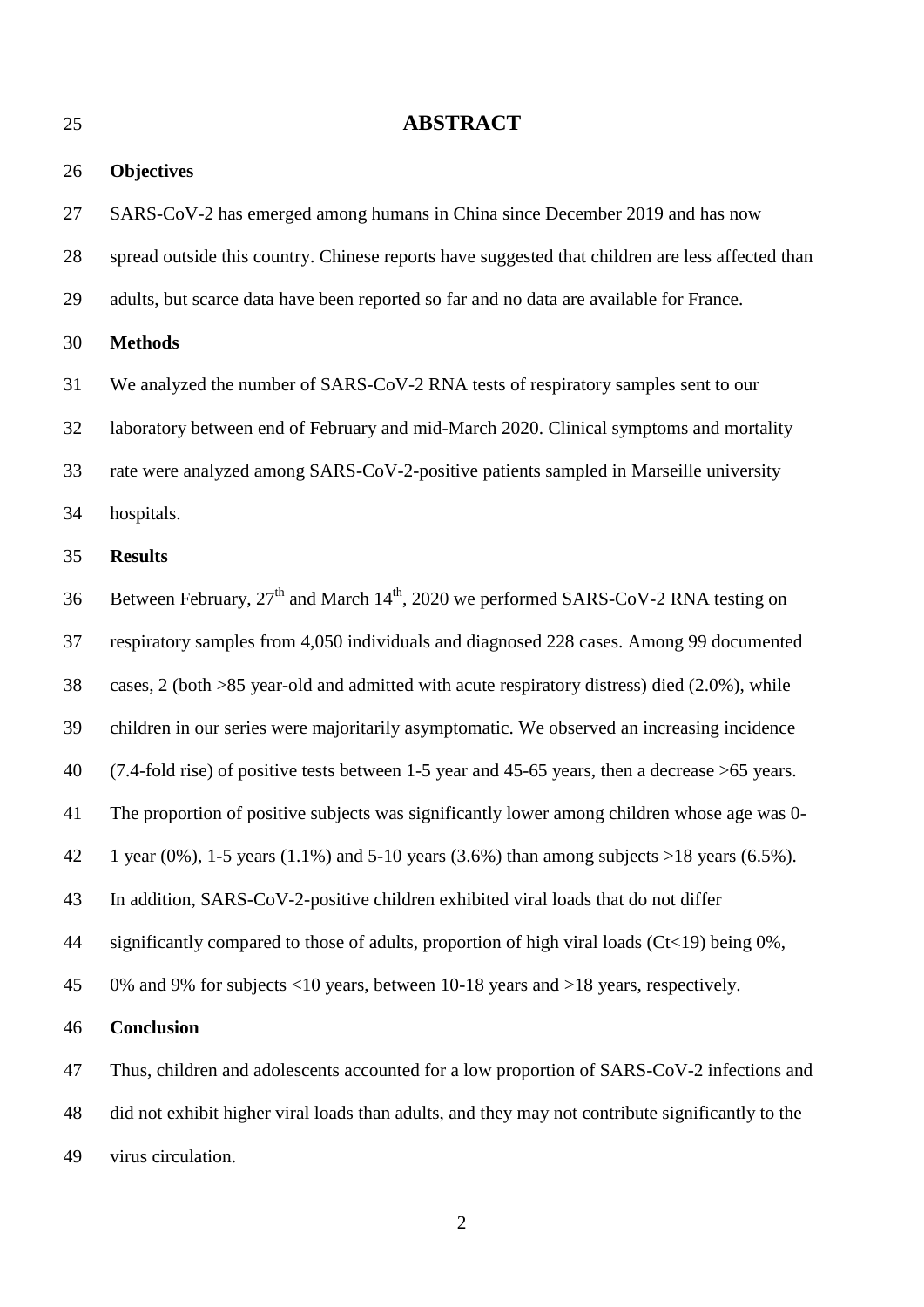**ABSTRACT Objectives** SARS-CoV-2 has emerged among humans in China since December 2019 and has now spread outside this country. Chinese reports have suggested that children are less affected than adults, but scarce data have been reported so far and no data are available for France. **Methods** We analyzed the number of SARS-CoV-2 RNA tests of respiratory samples sent to our laboratory between end of February and mid-March 2020. Clinical symptoms and mortality rate were analyzed among SARS-CoV-2-positive patients sampled in Marseille university hospitals. **Results** 36 Between February,  $27<sup>th</sup>$  and March  $14<sup>th</sup>$ , 2020 we performed SARS-CoV-2 RNA testing on respiratory samples from 4,050 individuals and diagnosed 228 cases. Among 99 documented cases, 2 (both >85 year-old and admitted with acute respiratory distress) died (2.0%), while children in our series were majoritarily asymptomatic. We observed an increasing incidence (7.4-fold rise) of positive tests between 1-5 year and 45-65 years, then a decrease >65 years. The proportion of positive subjects was significantly lower among children whose age was 0- 42 1 year (0%), 1-5 years (1.1%) and 5-10 years (3.6%) than among subjects  $>18$  years (6.5%). In addition, SARS-CoV-2-positive children exhibited viral loads that do not differ 44 significantly compared to those of adults, proportion of high viral loads  $(Ct<19)$  being 0%, 0% and 9% for subjects <10 years, between 10-18 years and >18 years, respectively. **Conclusion** Thus, children and adolescents accounted for a low proportion of SARS-CoV-2 infections and did not exhibit higher viral loads than adults, and they may not contribute significantly to the

virus circulation.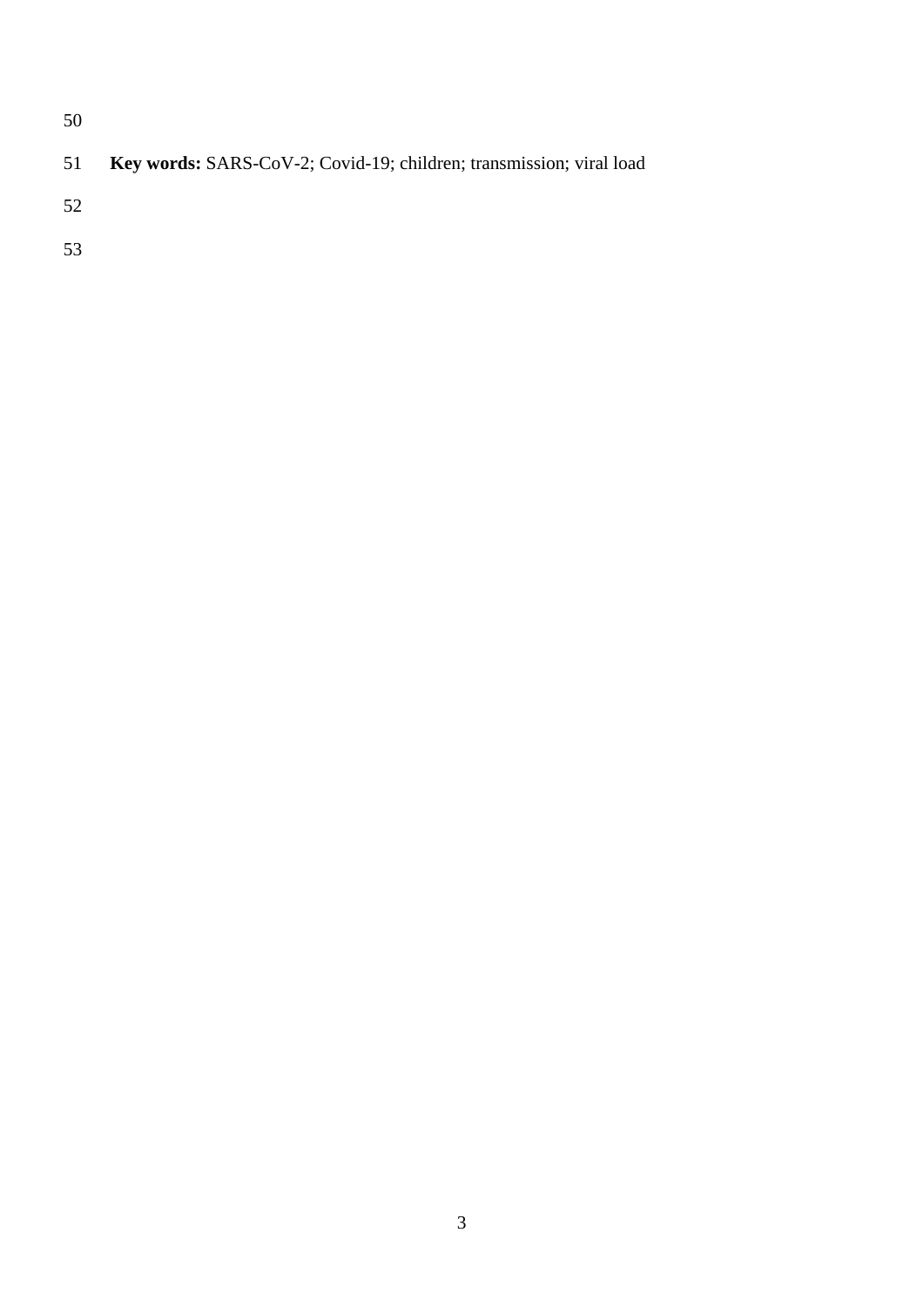| 51 <b>Key words:</b> SARS-CoV-2; Covid-19; children; transmission; viral load |  |  |  |  |  |  |  |
|-------------------------------------------------------------------------------|--|--|--|--|--|--|--|
|-------------------------------------------------------------------------------|--|--|--|--|--|--|--|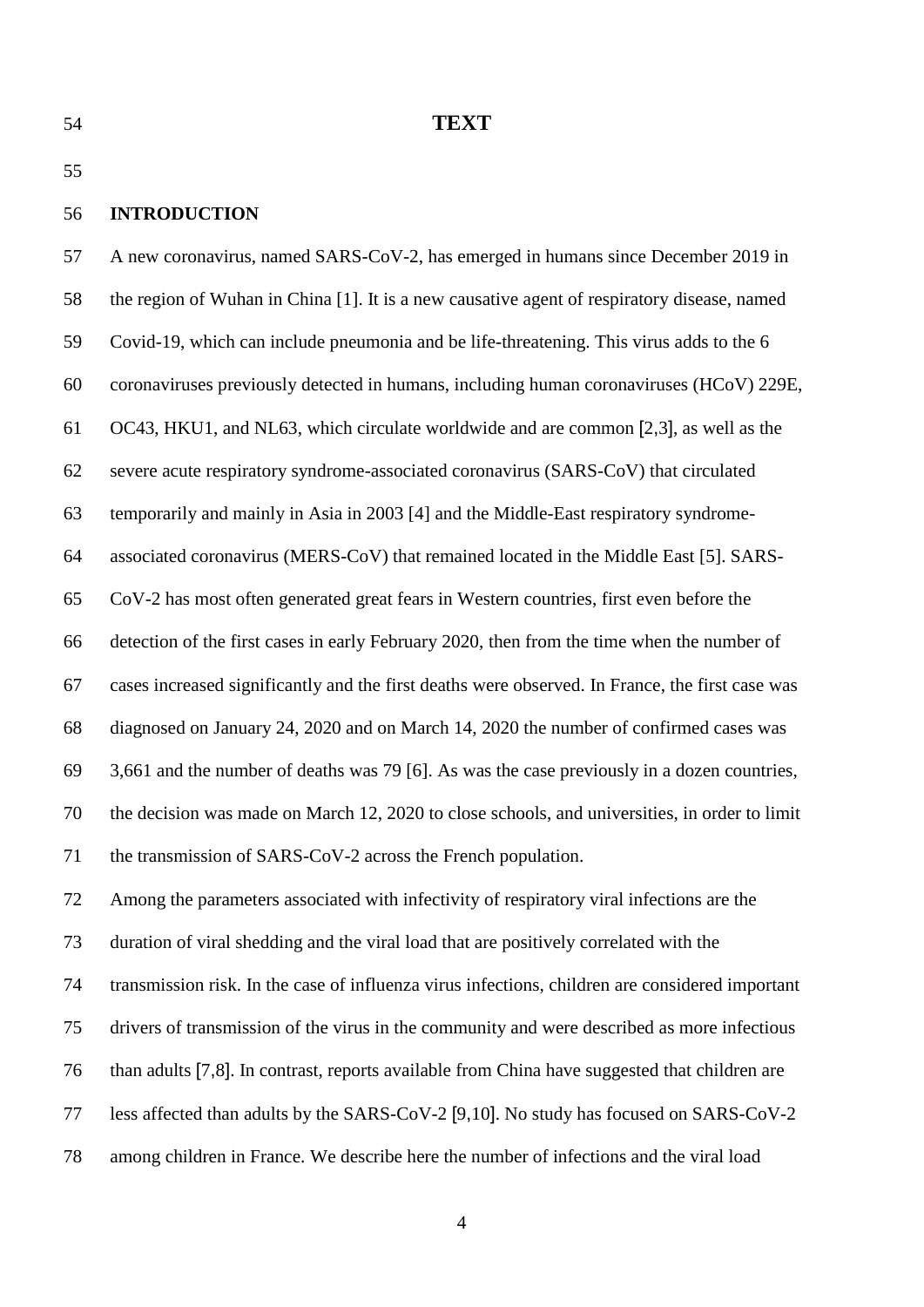## **TEXT**

### **INTRODUCTION**

 A new coronavirus, named SARS-CoV-2, has emerged in humans since December 2019 in the region of Wuhan in China [1]. It is a new causative agent of respiratory disease, named Covid-19, which can include pneumonia and be life-threatening. This virus adds to the 6 coronaviruses previously detected in humans, including human coronaviruses (HCoV) 229E, OC43, HKU1, and NL63, which circulate worldwide and are common [2,3], as well as the severe acute respiratory syndrome-associated coronavirus (SARS-CoV) that circulated temporarily and mainly in Asia in 2003 [4] and the Middle-East respiratory syndrome- associated coronavirus (MERS-CoV) that remained located in the Middle East [5]. SARS- CoV-2 has most often generated great fears in Western countries, first even before the detection of the first cases in early February 2020, then from the time when the number of cases increased significantly and the first deaths were observed. In France, the first case was diagnosed on January 24, 2020 and on March 14, 2020 the number of confirmed cases was 3,661 and the number of deaths was 79 [6]. As was the case previously in a dozen countries, the decision was made on March 12, 2020 to close schools, and universities, in order to limit the transmission of SARS-CoV-2 across the French population. Among the parameters associated with infectivity of respiratory viral infections are the duration of viral shedding and the viral load that are positively correlated with the transmission risk. In the case of influenza virus infections, children are considered important

drivers of transmission of the virus in the community and were described as more infectious

- than adults [7,8]. In contrast, reports available from China have suggested that children are
- less affected than adults by the SARS-CoV-2 [9,10]. No study has focused on SARS-CoV-2
- among children in France. We describe here the number of infections and the viral load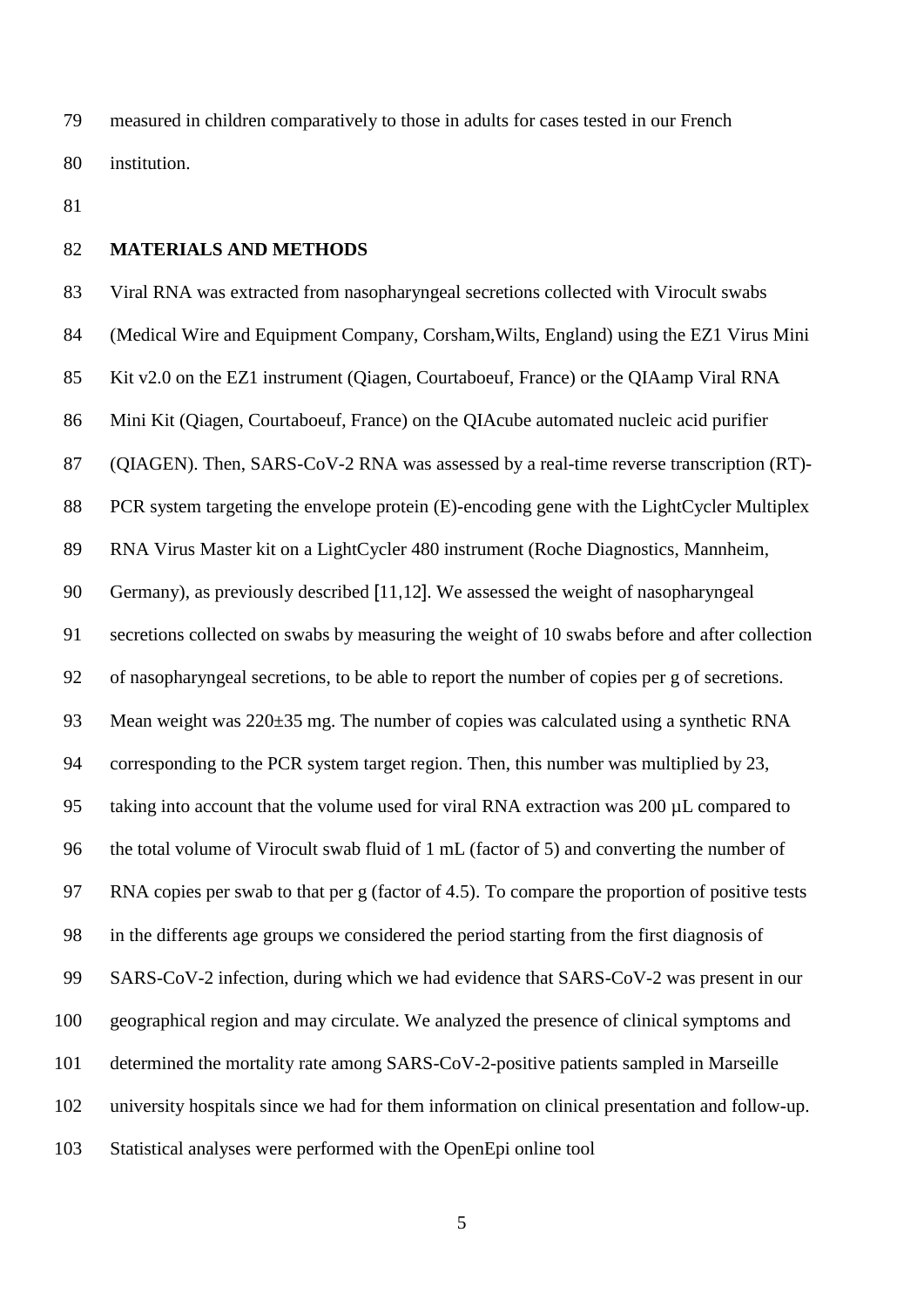measured in children comparatively to those in adults for cases tested in our French institution.

# **MATERIALS AND METHODS**

 Viral RNA was extracted from nasopharyngeal secretions collected with Virocult swabs (Medical Wire and Equipment Company, Corsham,Wilts, England) using the EZ1 Virus Mini Kit v2.0 on the EZ1 instrument (Qiagen, Courtaboeuf, France) or the QIAamp Viral RNA Mini Kit (Qiagen, Courtaboeuf, France) on the QIAcube automated nucleic acid purifier (QIAGEN). Then, SARS-CoV-2 RNA was assessed by a real-time reverse transcription (RT)- 88 PCR system targeting the envelope protein (E)-encoding gene with the LightCycler Multiplex RNA Virus Master kit on a LightCycler 480 instrument (Roche Diagnostics, Mannheim, Germany), as previously described [11,12]. We assessed the weight of nasopharyngeal secretions collected on swabs by measuring the weight of 10 swabs before and after collection of nasopharyngeal secretions, to be able to report the number of copies per g of secretions. Mean weight was 220±35 mg. The number of copies was calculated using a synthetic RNA corresponding to the PCR system target region. Then, this number was multiplied by 23, taking into account that the volume used for viral RNA extraction was 200 µL compared to the total volume of Virocult swab fluid of 1 mL (factor of 5) and converting the number of RNA copies per swab to that per g (factor of 4.5). To compare the proportion of positive tests in the differents age groups we considered the period starting from the first diagnosis of SARS-CoV-2 infection, during which we had evidence that SARS-CoV-2 was present in our geographical region and may circulate. We analyzed the presence of clinical symptoms and determined the mortality rate among SARS-CoV-2-positive patients sampled in Marseille university hospitals since we had for them information on clinical presentation and follow-up. Statistical analyses were performed with the OpenEpi online tool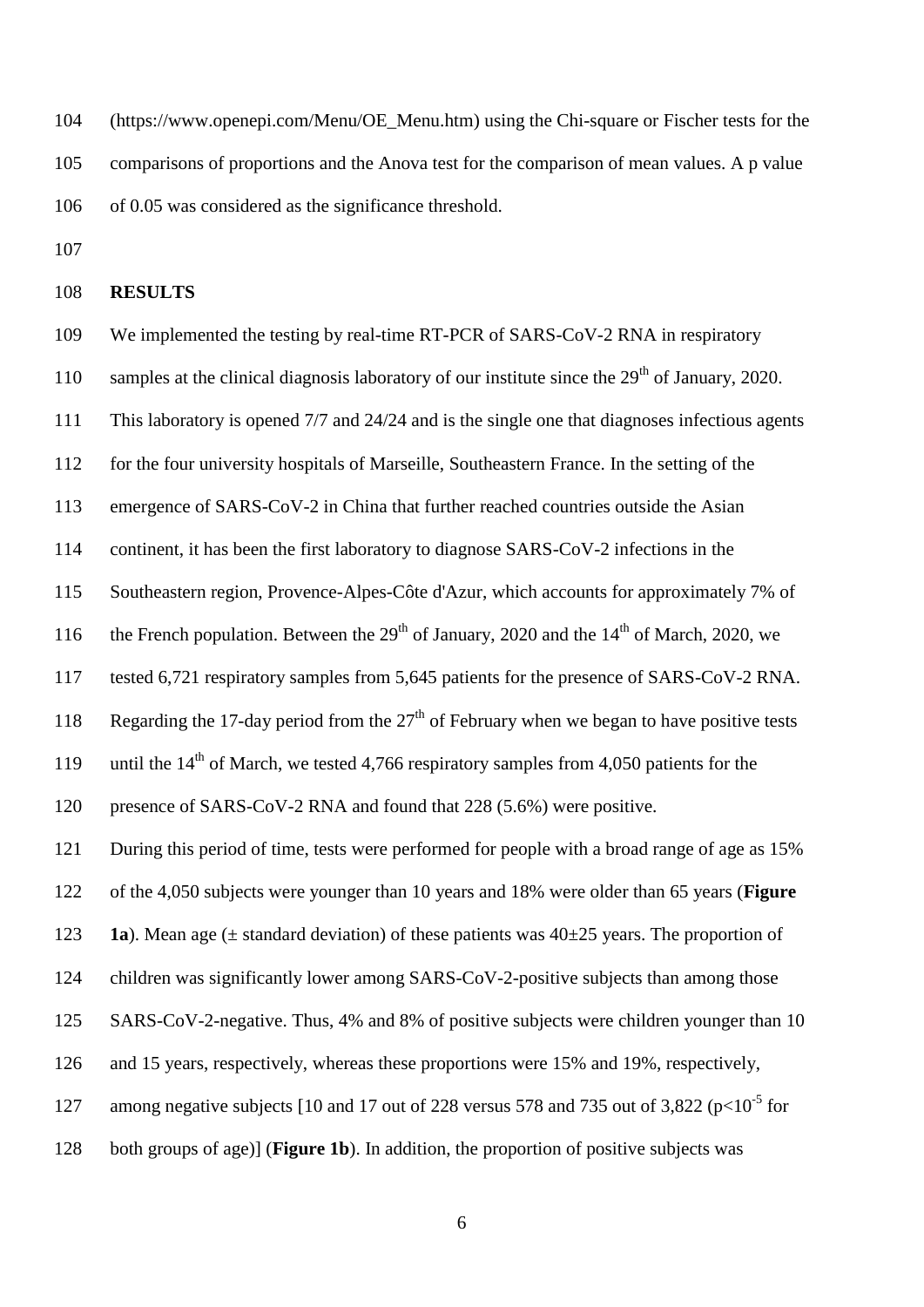(https://www.openepi.com/Menu/OE\_Menu.htm) using the Chi-square or Fischer tests for the comparisons of proportions and the Anova test for the comparison of mean values. A p value of 0.05 was considered as the significance threshold.

#### **RESULTS**

- We implemented the testing by real-time RT-PCR of SARS-CoV-2 RNA in respiratory
- 110 samples at the clinical diagnosis laboratory of our institute since the  $29<sup>th</sup>$  of January, 2020.
- This laboratory is opened 7/7 and 24/24 and is the single one that diagnoses infectious agents
- for the four university hospitals of Marseille, Southeastern France. In the setting of the
- emergence of SARS-CoV-2 in China that further reached countries outside the Asian
- continent, it has been the first laboratory to diagnose SARS-CoV-2 infections in the
- Southeastern region, Provence-Alpes-Côte d'Azur, which accounts for approximately 7% of
- 116 the French population. Between the  $29<sup>th</sup>$  of January, 2020 and the  $14<sup>th</sup>$  of March, 2020, we
- tested 6,721 respiratory samples from 5,645 patients for the presence of SARS-CoV-2 RNA.
- 118 Regarding the 17-day period from the  $27<sup>th</sup>$  of February when we began to have positive tests
- 119 until the  $14<sup>th</sup>$  of March, we tested 4,766 respiratory samples from 4,050 patients for the

presence of SARS-CoV-2 RNA and found that 228 (5.6%) were positive.

During this period of time, tests were performed for people with a broad range of age as 15%

of the 4,050 subjects were younger than 10 years and 18% were older than 65 years (**Figure** 

- 123 **1a**). Mean age ( $\pm$  standard deviation) of these patients was  $40\pm 25$  years. The proportion of
- children was significantly lower among SARS-CoV-2-positive subjects than among those
- SARS-CoV-2-negative. Thus, 4% and 8% of positive subjects were children younger than 10
- and 15 years, respectively, whereas these proportions were 15% and 19%, respectively,
- 127 among negative subjects [10 and 17 out of 228 versus 578 and 735 out of 3,822 ( $p<10^{-5}$  for
- both groups of age)] (**Figure 1b**). In addition, the proportion of positive subjects was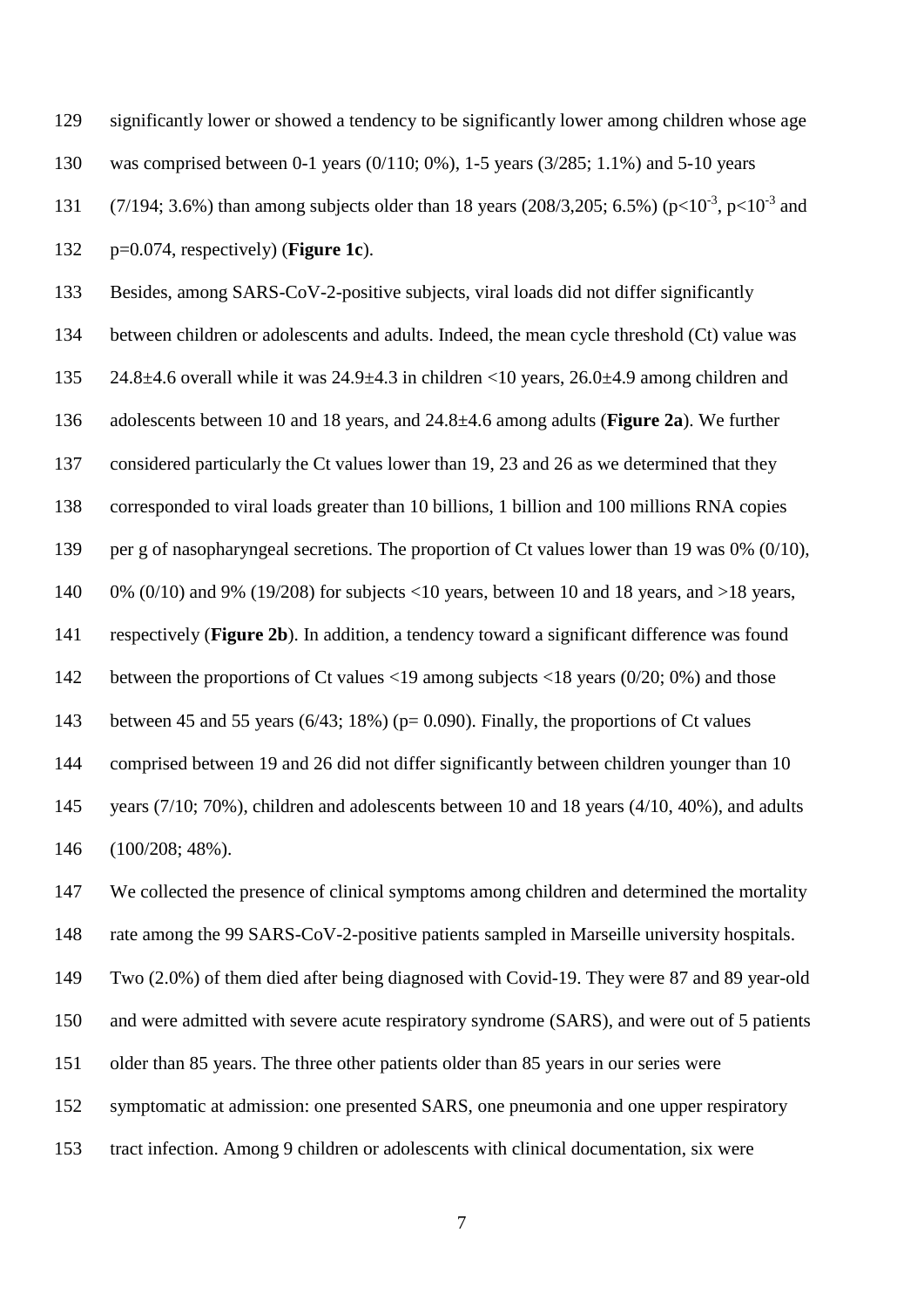significantly lower or showed a tendency to be significantly lower among children whose age was comprised between 0-1 years (0/110; 0%), 1-5 years (3/285; 1.1%) and 5-10 years 131 (7/194; 3.6%) than among subjects older than 18 years (208/3,205; 6.5%) ( $p<10^{-3}$ ,  $p<10^{-3}$  and p=0.074, respectively) (**Figure 1c**). Besides, among SARS-CoV-2-positive subjects, viral loads did not differ significantly between children or adolescents and adults. Indeed, the mean cycle threshold (Ct) value was 24.8±4.6 overall while it was 24.9±4.3 in children <10 years, 26.0±4.9 among children and adolescents between 10 and 18 years, and 24.8±4.6 among adults (**Figure 2a**). We further considered particularly the Ct values lower than 19, 23 and 26 as we determined that they corresponded to viral loads greater than 10 billions, 1 billion and 100 millions RNA copies per g of nasopharyngeal secretions. The proportion of Ct values lower than 19 was 0% (0/10), 140 0% (0/10) and 9% (19/208) for subjects <10 years, between 10 and 18 years, and >18 years, respectively (**Figure 2b**). In addition, a tendency toward a significant difference was found between the proportions of Ct values <19 among subjects <18 years (0/20; 0%) and those between 45 and 55 years (6/43; 18%) (p= 0.090). Finally, the proportions of Ct values comprised between 19 and 26 did not differ significantly between children younger than 10 years (7/10; 70%), children and adolescents between 10 and 18 years (4/10, 40%), and adults (100/208; 48%).

 We collected the presence of clinical symptoms among children and determined the mortality rate among the 99 SARS-CoV-2-positive patients sampled in Marseille university hospitals.

Two (2.0%) of them died after being diagnosed with Covid-19. They were 87 and 89 year-old

and were admitted with severe acute respiratory syndrome (SARS), and were out of 5 patients

older than 85 years. The three other patients older than 85 years in our series were

symptomatic at admission: one presented SARS, one pneumonia and one upper respiratory

tract infection. Among 9 children or adolescents with clinical documentation, six were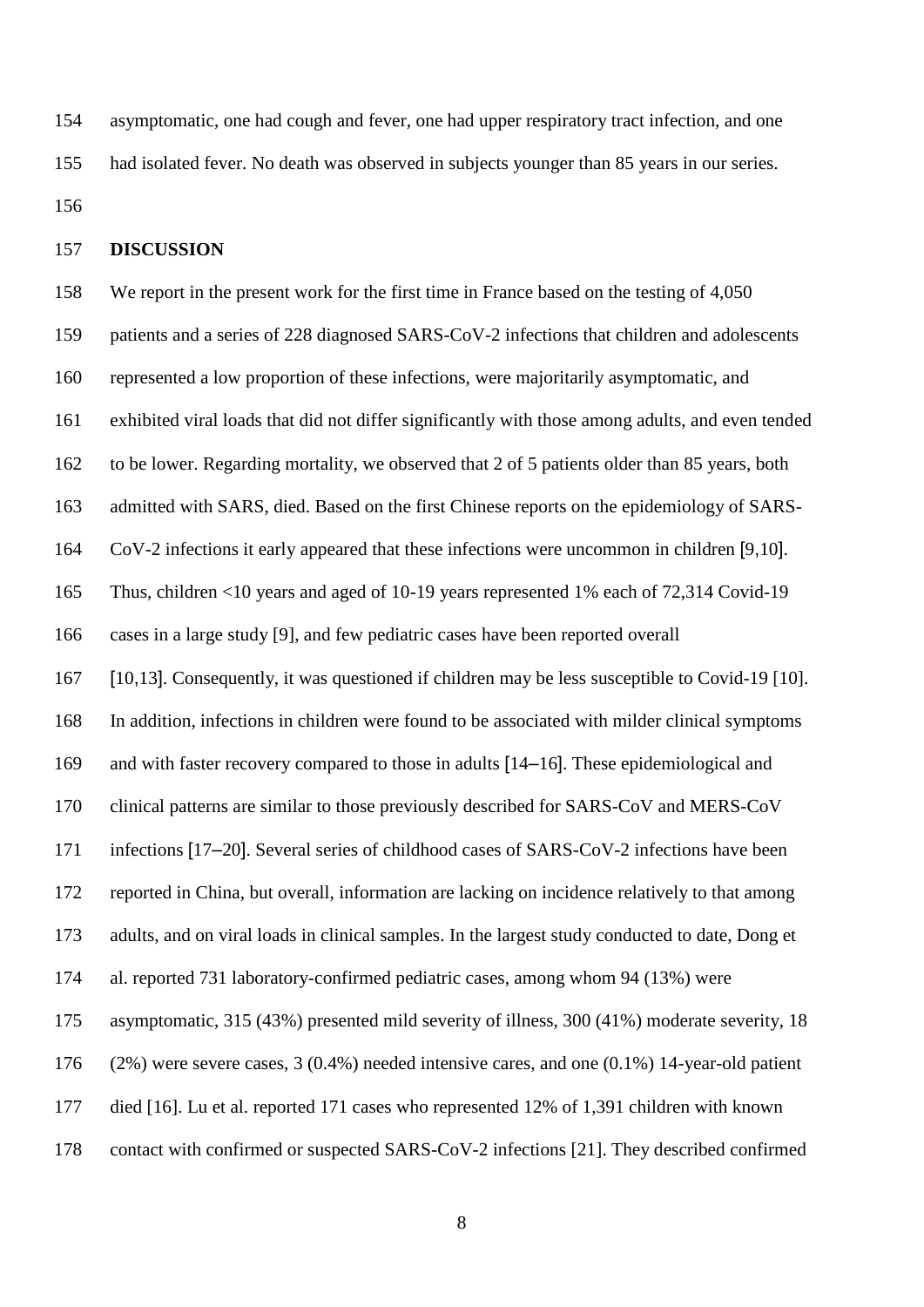asymptomatic, one had cough and fever, one had upper respiratory tract infection, and one had isolated fever. No death was observed in subjects younger than 85 years in our series. 

## **DISCUSSION**

 We report in the present work for the first time in France based on the testing of 4,050 patients and a series of 228 diagnosed SARS-CoV-2 infections that children and adolescents represented a low proportion of these infections, were majoritarily asymptomatic, and exhibited viral loads that did not differ significantly with those among adults, and even tended to be lower. Regarding mortality, we observed that 2 of 5 patients older than 85 years, both admitted with SARS, died. Based on the first Chinese reports on the epidemiology of SARS- CoV-2 infections it early appeared that these infections were uncommon in children [9,10]. Thus, children <10 years and aged of 10-19 years represented 1% each of 72,314 Covid-19 cases in a large study [9], and few pediatric cases have been reported overall [10,13]. Consequently, it was questioned if children may be less susceptible to Covid-19 [10]. In addition, infections in children were found to be associated with milder clinical symptoms and with faster recovery compared to those in adults [14–16]. These epidemiological and clinical patterns are similar to those previously described for SARS-CoV and MERS-CoV infections [17–20]. Several series of childhood cases of SARS-CoV-2 infections have been reported in China, but overall, information are lacking on incidence relatively to that among adults, and on viral loads in clinical samples. In the largest study conducted to date, Dong et al. reported 731 laboratory-confirmed pediatric cases, among whom 94 (13%) were asymptomatic, 315 (43%) presented mild severity of illness, 300 (41%) moderate severity, 18 (2%) were severe cases, 3 (0.4%) needed intensive cares, and one (0.1%) 14-year-old patient died [16]. Lu et al. reported 171 cases who represented 12% of 1,391 children with known contact with confirmed or suspected SARS-CoV-2 infections [21]. They described confirmed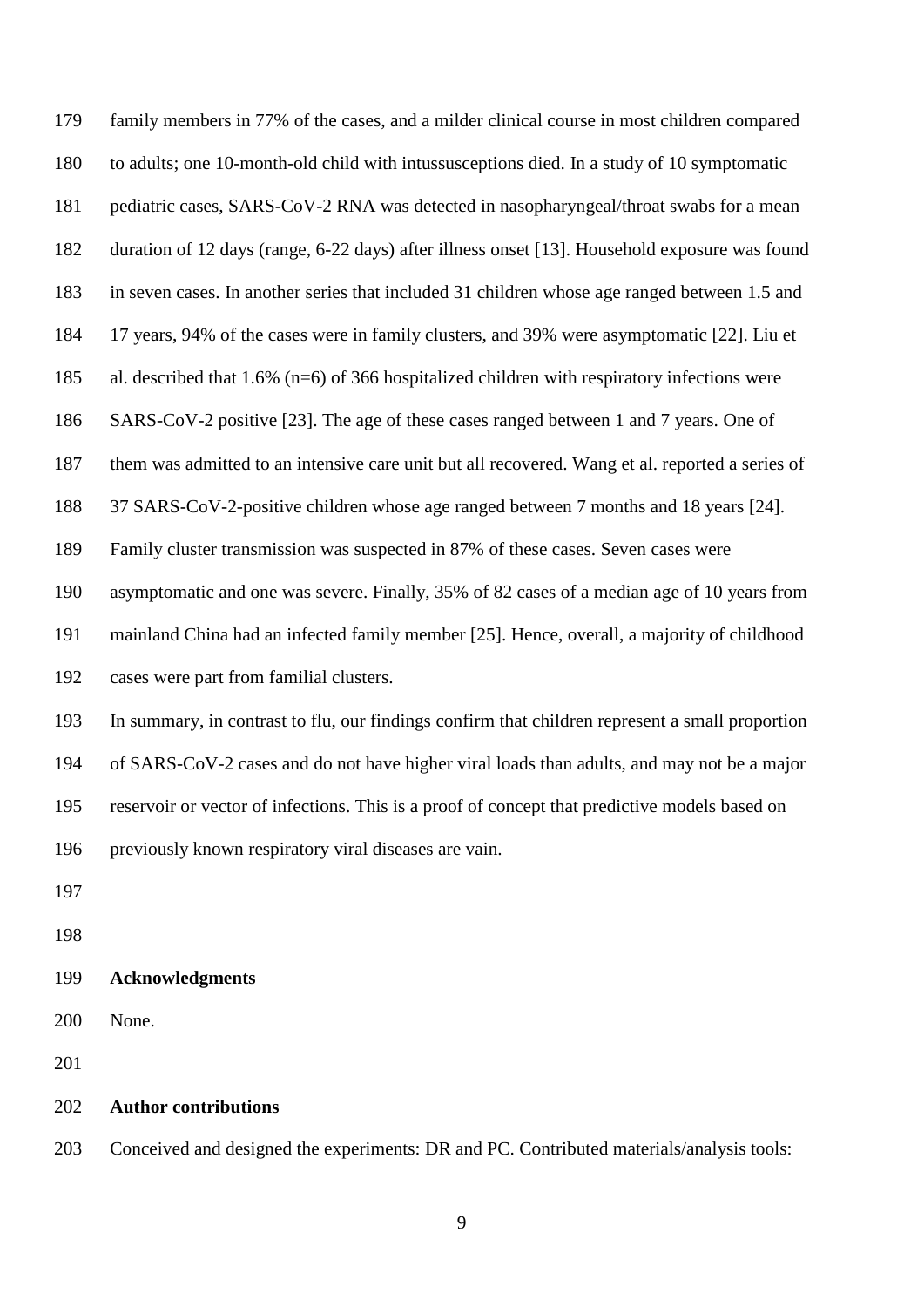family members in 77% of the cases, and a milder clinical course in most children compared to adults; one 10-month-old child with intussusceptions died. In a study of 10 symptomatic pediatric cases, SARS-CoV-2 RNA was detected in nasopharyngeal/throat swabs for a mean duration of 12 days (range, 6-22 days) after illness onset [13]. Household exposure was found in seven cases. In another series that included 31 children whose age ranged between 1.5 and 17 years, 94% of the cases were in family clusters, and 39% were asymptomatic [22]. Liu et al. described that 1.6% (n=6) of 366 hospitalized children with respiratory infections were SARS-CoV-2 positive [23]. The age of these cases ranged between 1 and 7 years. One of them was admitted to an intensive care unit but all recovered. Wang et al. reported a series of 37 SARS-CoV-2-positive children whose age ranged between 7 months and 18 years [24]. Family cluster transmission was suspected in 87% of these cases. Seven cases were asymptomatic and one was severe. Finally, 35% of 82 cases of a median age of 10 years from mainland China had an infected family member [25]. Hence, overall, a majority of childhood cases were part from familial clusters. In summary, in contrast to flu, our findings confirm that children represent a small proportion of SARS-CoV-2 cases and do not have higher viral loads than adults, and may not be a major reservoir or vector of infections. This is a proof of concept that predictive models based on previously known respiratory viral diseases are vain. **Acknowledgments**

None.

### **Author contributions**

Conceived and designed the experiments: DR and PC. Contributed materials/analysis tools: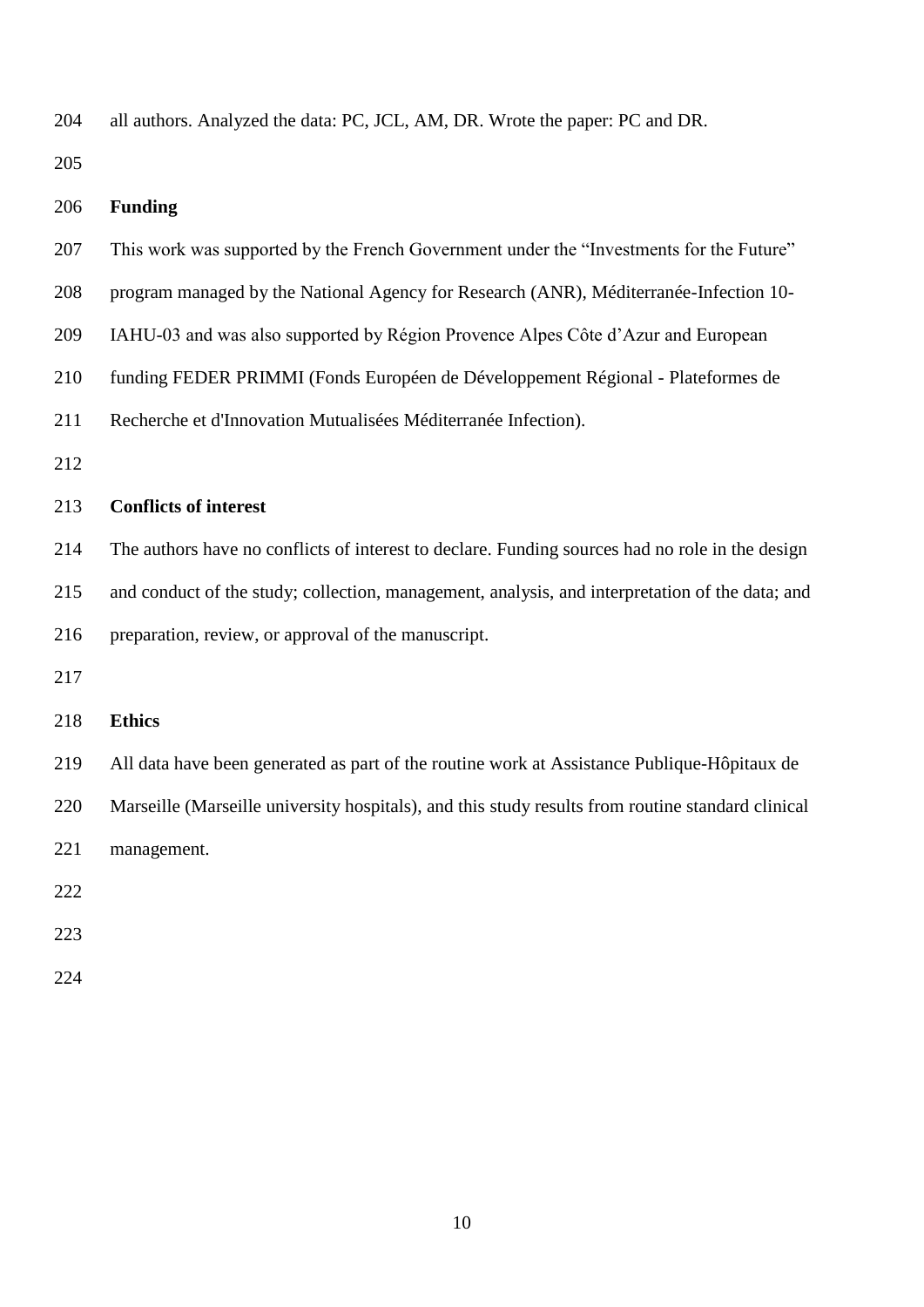| 204 | all authors. Analyzed the data: PC, JCL, AM, DR. Wrote the paper: PC and DR.                      |
|-----|---------------------------------------------------------------------------------------------------|
| 205 |                                                                                                   |
| 206 | <b>Funding</b>                                                                                    |
| 207 | This work was supported by the French Government under the "Investments for the Future"           |
| 208 | program managed by the National Agency for Research (ANR), Méditerranée-Infection 10-             |
| 209 | IAHU-03 and was also supported by Région Provence Alpes Côte d'Azur and European                  |
| 210 | funding FEDER PRIMMI (Fonds Européen de Développement Régional - Plateformes de                   |
| 211 | Recherche et d'Innovation Mutualisées Méditerranée Infection).                                    |
| 212 |                                                                                                   |
| 213 | <b>Conflicts of interest</b>                                                                      |
| 214 | The authors have no conflicts of interest to declare. Funding sources had no role in the design   |
| 215 | and conduct of the study; collection, management, analysis, and interpretation of the data; and   |
| 216 | preparation, review, or approval of the manuscript.                                               |
| 217 |                                                                                                   |
| 218 | <b>Ethics</b>                                                                                     |
| 219 | All data have been generated as part of the routine work at Assistance Publique-Hôpitaux de       |
| 220 | Marseille (Marseille university hospitals), and this study results from routine standard clinical |
| 221 | management.                                                                                       |
| 222 |                                                                                                   |
| 223 |                                                                                                   |
|     |                                                                                                   |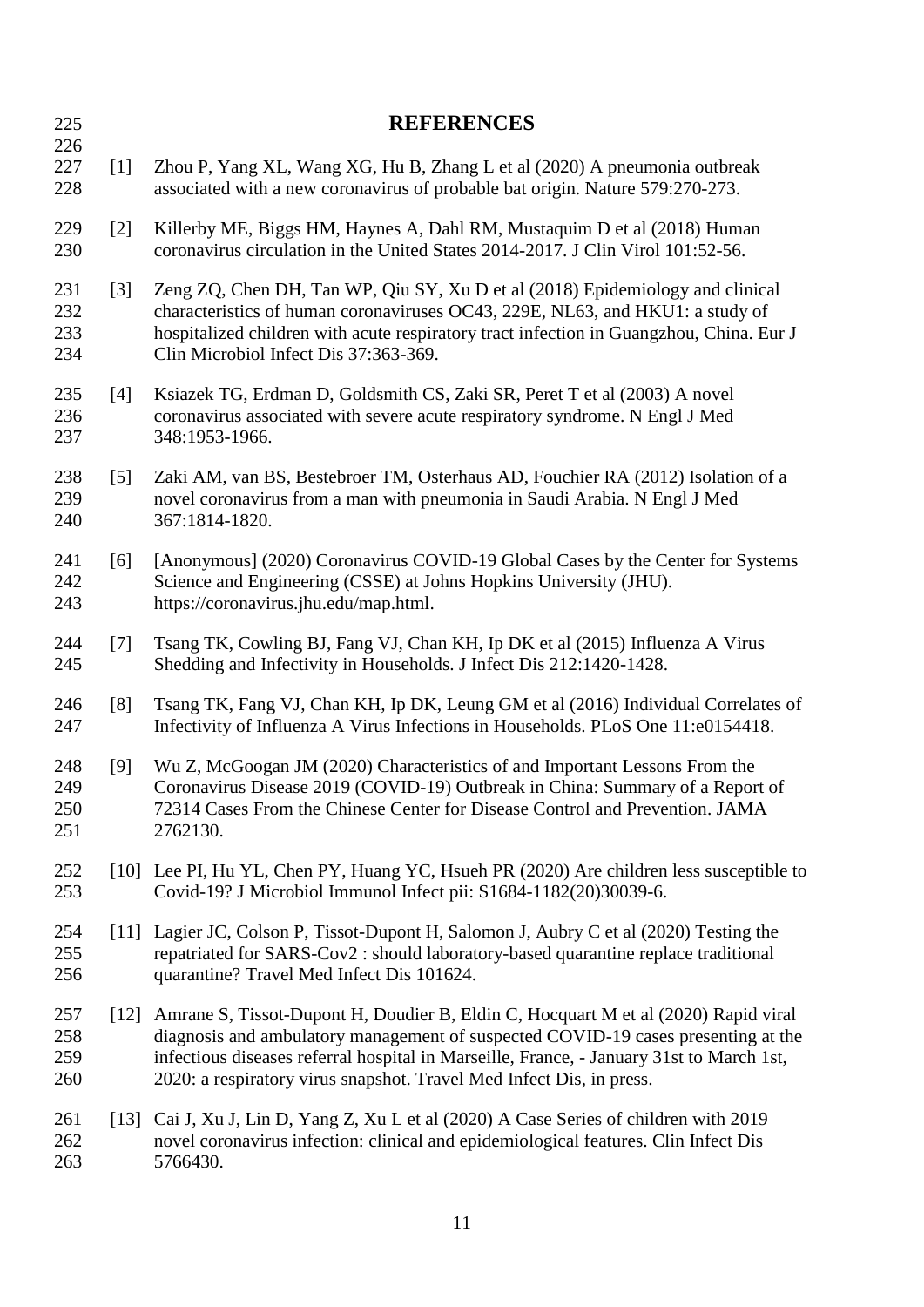| 225                      |                    | <b>REFERENCES</b>                                                                                                                                                                                                                                                                                                                           |
|--------------------------|--------------------|---------------------------------------------------------------------------------------------------------------------------------------------------------------------------------------------------------------------------------------------------------------------------------------------------------------------------------------------|
| 226<br>227<br>228        | $\lceil 1 \rceil$  | Zhou P, Yang XL, Wang XG, Hu B, Zhang L et al (2020) A pneumonia outbreak<br>associated with a new coronavirus of probable bat origin. Nature 579:270-273.                                                                                                                                                                                  |
| 229<br>230               | $\lceil 2 \rceil$  | Killerby ME, Biggs HM, Haynes A, Dahl RM, Mustaquim D et al (2018) Human<br>coronavirus circulation in the United States 2014-2017. J Clin Virol 101:52-56.                                                                                                                                                                                 |
| 231<br>232<br>233<br>234 | $\lceil 3 \rceil$  | Zeng ZQ, Chen DH, Tan WP, Qiu SY, Xu D et al (2018) Epidemiology and clinical<br>characteristics of human coronaviruses OC43, 229E, NL63, and HKU1: a study of<br>hospitalized children with acute respiratory tract infection in Guangzhou, China. Eur J<br>Clin Microbiol Infect Dis 37:363-369.                                          |
| 235<br>236<br>237        | $[4]$              | Ksiazek TG, Erdman D, Goldsmith CS, Zaki SR, Peret T et al (2003) A novel<br>coronavirus associated with severe acute respiratory syndrome. N Engl J Med<br>348:1953-1966.                                                                                                                                                                  |
| 238<br>239<br>240        | $\lceil 5 \rceil$  | Zaki AM, van BS, Bestebroer TM, Osterhaus AD, Fouchier RA (2012) Isolation of a<br>novel coronavirus from a man with pneumonia in Saudi Arabia. N Engl J Med<br>367:1814-1820.                                                                                                                                                              |
| 241<br>242<br>243        | [6]                | [Anonymous] (2020) Coronavirus COVID-19 Global Cases by the Center for Systems<br>Science and Engineering (CSSE) at Johns Hopkins University (JHU).<br>https://coronavirus.jhu.edu/map.html.                                                                                                                                                |
| 244<br>245               | $[7]$              | Tsang TK, Cowling BJ, Fang VJ, Chan KH, Ip DK et al (2015) Influenza A Virus<br>Shedding and Infectivity in Households. J Infect Dis 212:1420-1428.                                                                                                                                                                                         |
| 246<br>247               | [8]                | Tsang TK, Fang VJ, Chan KH, Ip DK, Leung GM et al (2016) Individual Correlates of<br>Infectivity of Influenza A Virus Infections in Households. PLoS One 11:e0154418.                                                                                                                                                                       |
| 248<br>249<br>250<br>251 | [9]                | Wu Z, McGoogan JM (2020) Characteristics of and Important Lessons From the<br>Coronavirus Disease 2019 (COVID-19) Outbreak in China: Summary of a Report of<br>72314 Cases From the Chinese Center for Disease Control and Prevention. JAMA<br>2762130.                                                                                     |
| 252<br>253               |                    | [10] Lee PI, Hu YL, Chen PY, Huang YC, Hsueh PR (2020) Are children less susceptible to<br>Covid-19? J Microbiol Immunol Infect pii: S1684-1182(20)30039-6.                                                                                                                                                                                 |
| 254<br>255<br>256        |                    | [11] Lagier JC, Colson P, Tissot-Dupont H, Salomon J, Aubry C et al (2020) Testing the<br>repatriated for SARS-Cov2 : should laboratory-based quarantine replace traditional<br>quarantine? Travel Med Infect Dis 101624.                                                                                                                   |
| 257<br>258<br>259<br>260 | $\lceil 12 \rceil$ | Amrane S, Tissot-Dupont H, Doudier B, Eldin C, Hocquart M et al (2020) Rapid viral<br>diagnosis and ambulatory management of suspected COVID-19 cases presenting at the<br>infectious diseases referral hospital in Marseille, France, - January 31st to March 1st,<br>2020: a respiratory virus snapshot. Travel Med Infect Dis, in press. |
| 261<br>262<br>263        | $\lceil 13 \rceil$ | Cai J, Xu J, Lin D, Yang Z, Xu L et al (2020) A Case Series of children with 2019<br>novel coronavirus infection: clinical and epidemiological features. Clin Infect Dis<br>5766430.                                                                                                                                                        |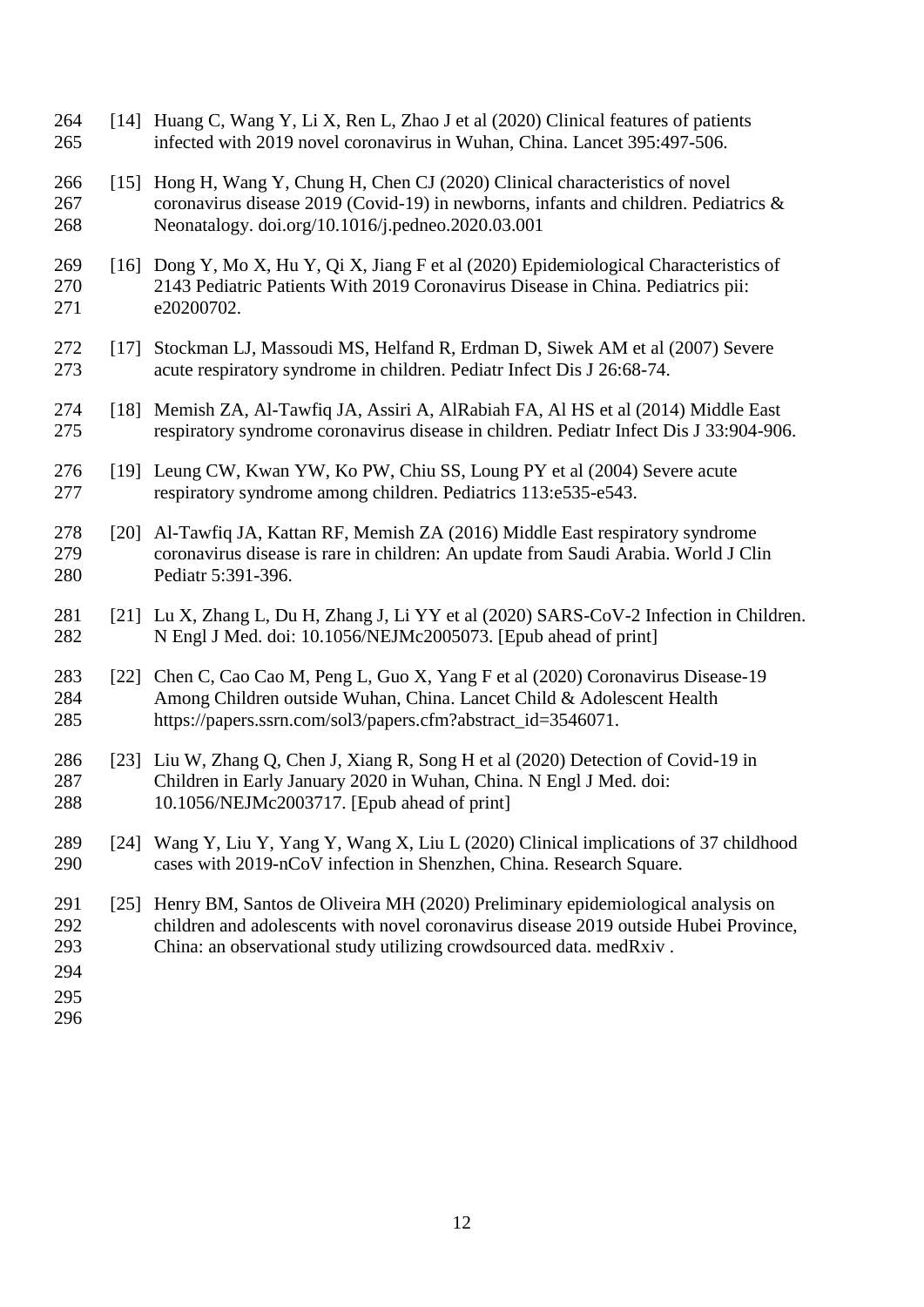| 264<br>265                             | [14]               | Huang C, Wang Y, Li X, Ren L, Zhao J et al (2020) Clinical features of patients<br>infected with 2019 novel coronavirus in Wuhan, China. Lancet 395:497-506.                                                                                  |
|----------------------------------------|--------------------|-----------------------------------------------------------------------------------------------------------------------------------------------------------------------------------------------------------------------------------------------|
| 266<br>267<br>268                      | $\lceil 15 \rceil$ | Hong H, Wang Y, Chung H, Chen CJ (2020) Clinical characteristics of novel<br>coronavirus disease 2019 (Covid-19) in newborns, infants and children. Pediatrics &<br>Neonatalogy. doi.org/10.1016/j.pedneo.2020.03.001                         |
| 269<br>270<br>271                      | $\lceil 16 \rceil$ | Dong Y, Mo X, Hu Y, Qi X, Jiang F et al (2020) Epidemiological Characteristics of<br>2143 Pediatric Patients With 2019 Coronavirus Disease in China. Pediatrics pii:<br>e20200702.                                                            |
| 272<br>273                             | [17]               | Stockman LJ, Massoudi MS, Helfand R, Erdman D, Siwek AM et al (2007) Severe<br>acute respiratory syndrome in children. Pediatr Infect Dis J 26:68-74.                                                                                         |
| 274<br>275                             | $\lceil 18 \rceil$ | Memish ZA, Al-Tawfiq JA, Assiri A, AlRabiah FA, Al HS et al (2014) Middle East<br>respiratory syndrome coronavirus disease in children. Pediatr Infect Dis J 33:904-906.                                                                      |
| 276<br>277                             | [19]               | Leung CW, Kwan YW, Ko PW, Chiu SS, Loung PY et al (2004) Severe acute<br>respiratory syndrome among children. Pediatrics 113:e535-e543.                                                                                                       |
| 278<br>279<br>280                      | $\lceil 20 \rceil$ | Al-Tawfiq JA, Kattan RF, Memish ZA (2016) Middle East respiratory syndrome<br>coronavirus disease is rare in children: An update from Saudi Arabia. World J Clin<br>Pediatr 5:391-396.                                                        |
| 281<br>282                             | [21]               | Lu X, Zhang L, Du H, Zhang J, Li YY et al (2020) SARS-CoV-2 Infection in Children.<br>N Engl J Med. doi: 10.1056/NEJMc2005073. [Epub ahead of print]                                                                                          |
| 283<br>284<br>285                      | $\lceil 22 \rceil$ | Chen C, Cao Cao M, Peng L, Guo X, Yang F et al (2020) Coronavirus Disease-19<br>Among Children outside Wuhan, China. Lancet Child & Adolescent Health<br>https://papers.ssrn.com/sol3/papers.cfm?abstract_id=3546071.                         |
| 286<br>287<br>288                      |                    | [23] Liu W, Zhang Q, Chen J, Xiang R, Song H et al (2020) Detection of Covid-19 in<br>Children in Early January 2020 in Wuhan, China. N Engl J Med. doi:<br>10.1056/NEJMc2003717. [Epub ahead of print]                                       |
| 289<br>290                             | $\lceil 24 \rceil$ | Wang Y, Liu Y, Yang Y, Wang X, Liu L (2020) Clinical implications of 37 childhood<br>cases with 2019-nCoV infection in Shenzhen, China. Research Square.                                                                                      |
| 291<br>292<br>293<br>294<br>295<br>296 | $[25]$             | Henry BM, Santos de Oliveira MH (2020) Preliminary epidemiological analysis on<br>children and adolescents with novel coronavirus disease 2019 outside Hubei Province,<br>China: an observational study utilizing crowdsourced data. medRxiv. |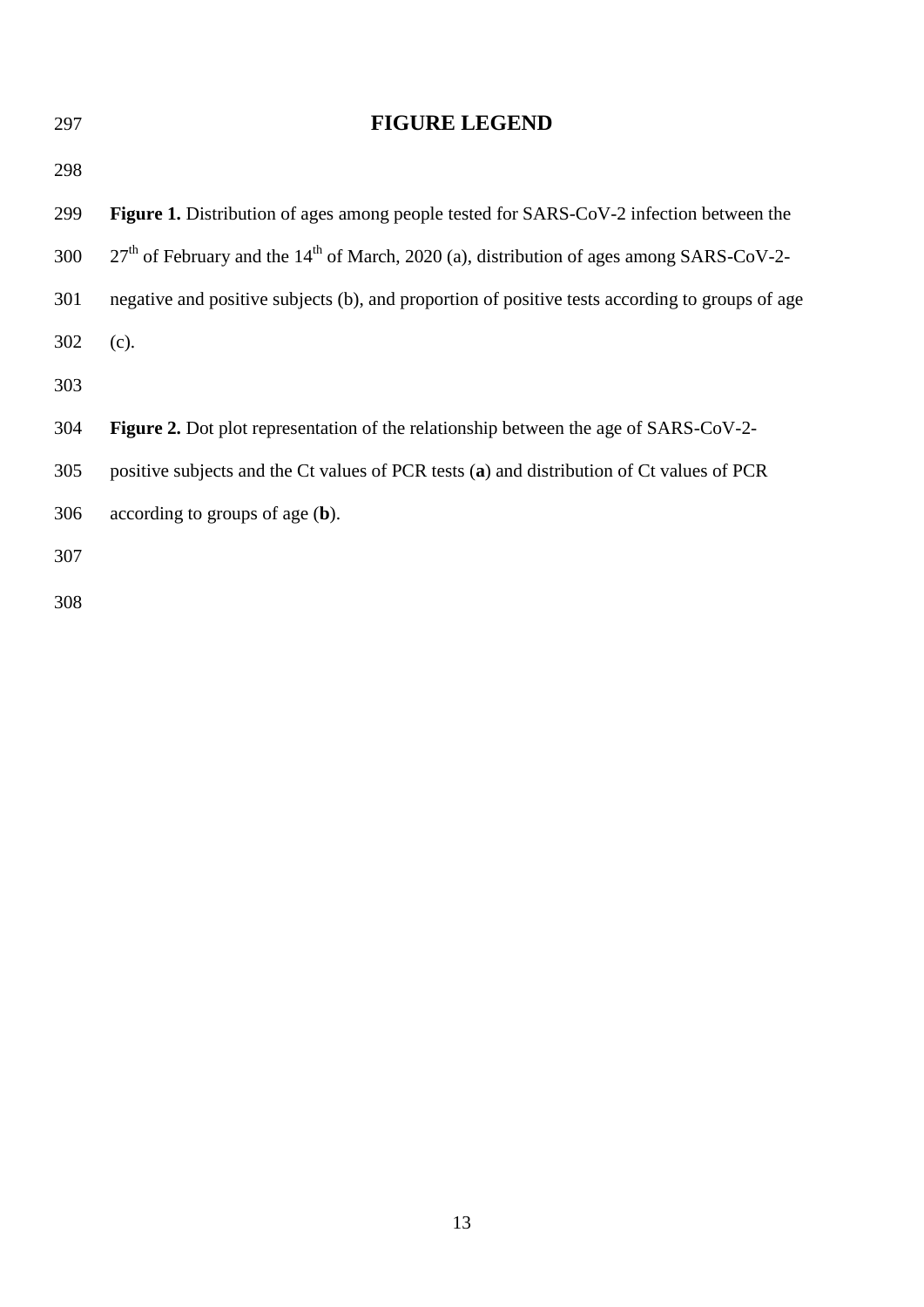| 297 | <b>FIGURE LEGEND</b>                                                                                   |
|-----|--------------------------------------------------------------------------------------------------------|
| 298 |                                                                                                        |
| 299 | <b>Figure 1.</b> Distribution of ages among people tested for SARS-CoV-2 infection between the         |
| 300 | $27th$ of February and the 14 <sup>th</sup> of March, 2020 (a), distribution of ages among SARS-CoV-2- |
| 301 | negative and positive subjects (b), and proportion of positive tests according to groups of age        |
| 302 | (c).                                                                                                   |
| 303 |                                                                                                        |
| 304 | <b>Figure 2.</b> Dot plot representation of the relationship between the age of SARS-CoV-2-            |
| 305 | positive subjects and the Ct values of PCR tests (a) and distribution of Ct values of PCR              |
| 306 | according to groups of age $(b)$ .                                                                     |
| 307 |                                                                                                        |
| 308 |                                                                                                        |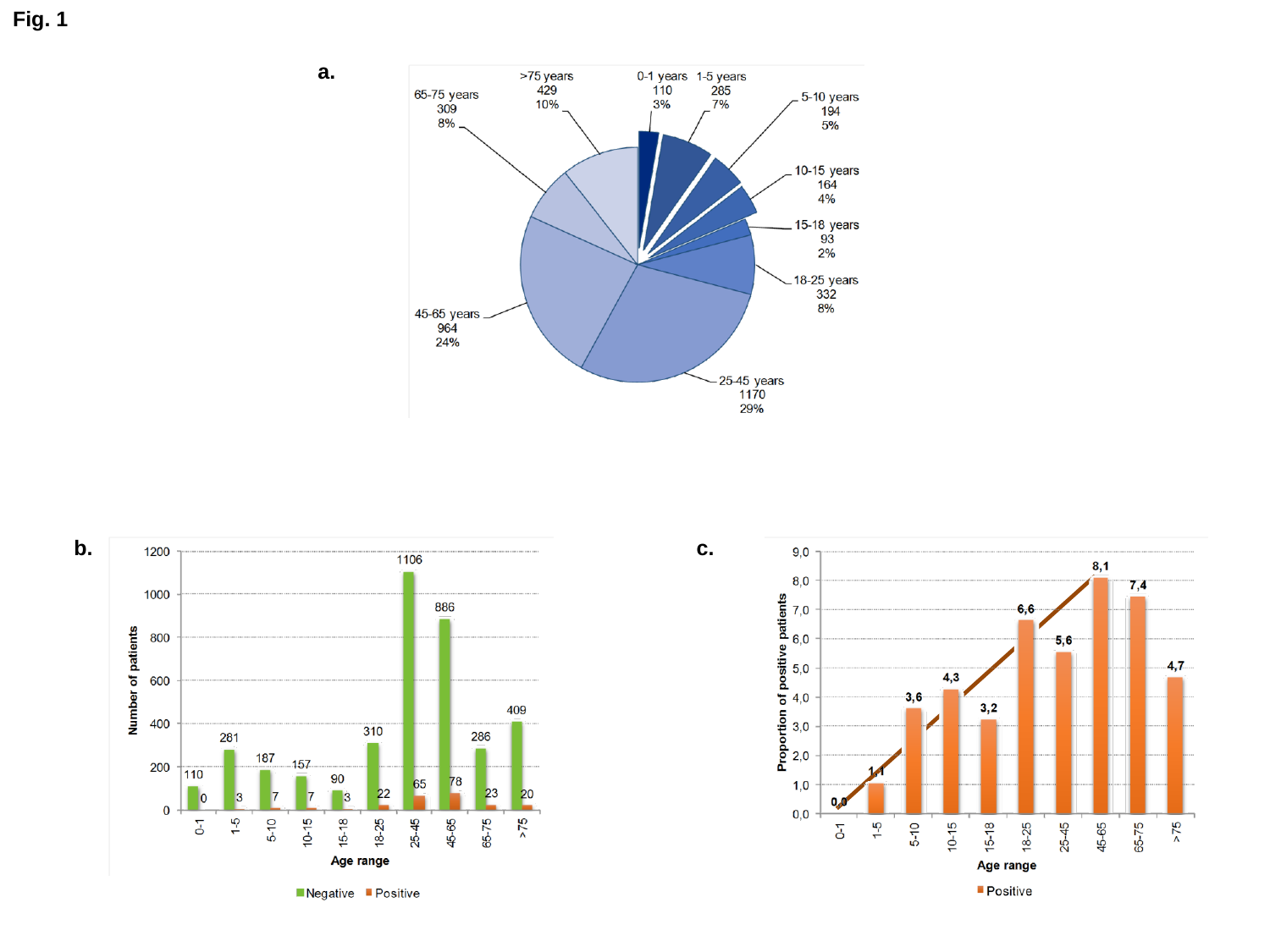**Fig. 1**





**a.**